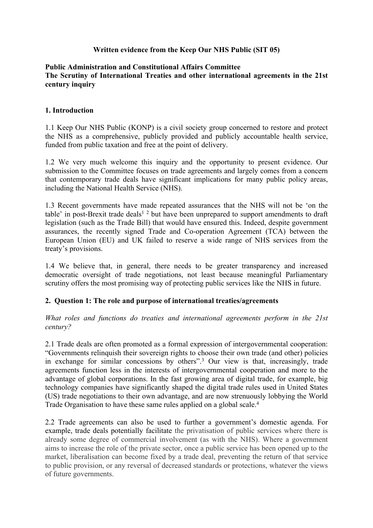## **Written evidence from the Keep Our NHS Public (SIT 05)**

#### **Public Administration and Constitutional Affairs Committee The Scrutiny of International Treaties and other international agreements in the 21st century inquiry**

#### **1. Introduction**

1.1 Keep Our NHS Public (KONP) is a civil society group concerned to restore and protect the NHS as a comprehensive, publicly provided and publicly accountable health service, funded from public taxation and free at the point of delivery.

1.2 We very much welcome this inquiry and the opportunity to present evidence. Our submission to the Committee focuses on trade agreements and largely comes from a concern that contemporary trade deals have significant implications for many public policy areas, including the National Health Service (NHS).

1.3 Recent governments have made repeated assurances that the NHS will not be 'on the table' in post-Brexit trade deals<sup>1</sup>  $2$  but have been unprepared to support amendments to draft legislation (such as the Trade Bill) that would have ensured this. Indeed, despite government assurances, the recently signed Trade and Co-operation Agreement (TCA) between the European Union (EU) and UK failed to reserve a wide range of NHS services from the treaty's provisions.

1.4 We believe that, in general, there needs to be greater transparency and increased democratic oversight of trade negotiations, not least because meaningful Parliamentary scrutiny offers the most promising way of protecting public services like the NHS in future.

## **2. Question 1: The role and purpose of international treaties/agreements**

*What roles and functions do treaties and international agreements perform in the 21st century?*

2.1 Trade deals are often promoted as a formal expression of intergovernmental cooperation: "Governments relinquish their sovereign rights to choose their own trade (and other) policies in exchange for similar concessions by others".<sup>3</sup> Our view is that, increasingly, trade agreements function less in the interests of intergovernmental cooperation and more to the advantage of global corporations. In the fast growing area of digital trade, for example, big technology companies have significantly shaped the digital trade rules used in United States (US) trade negotiations to their own advantage, and are now strenuously lobbying the World Trade Organisation to have these same rules applied on a global scale.<sup>4</sup>

2.2 Trade agreements can also be used to further a government's domestic agenda. For example, trade deals potentially facilitate the privatisation of public services where there is already some degree of commercial involvement (as with the NHS). Where a government aims to increase the role of the private sector, once a public service has been opened up to the market, liberalisation can become fixed by a trade deal, preventing the return of that service to public provision, or any reversal of decreased standards or protections, whatever the views of future governments.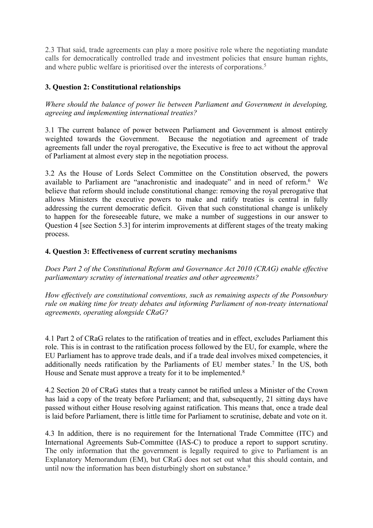2.3 That said, trade agreements can play a more positive role where the negotiating mandate calls for democratically controlled trade and investment policies that ensure human rights, and where public welfare is prioritised over the interests of corporations.<sup>5</sup>

# **3. Question 2: Constitutional relationships**

*Where should the balance of power lie between Parliament and Government in developing, agreeing and implementing international treaties?*

3.1 The current balance of power between Parliament and Government is almost entirely weighted towards the Government. Because the negotiation and agreement of trade agreements fall under the royal prerogative, the Executive is free to act without the approval of Parliament at almost every step in the negotiation process.

3.2 As the House of Lords Select Committee on the Constitution observed, the powers available to Parliament are "anachronistic and inadequate" and in need of reform.<sup>6</sup> We believe that reform should include constitutional change: removing the royal prerogative that allows Ministers the executive powers to make and ratify treaties is central in fully addressing the current democratic deficit. Given that such constitutional change is unlikely to happen for the foreseeable future, we make a number of suggestions in our answer to Question 4 [see Section 5.3] for interim improvements at different stages of the treaty making process.

### **4. Question 3: Effectiveness of current scrutiny mechanisms**

*Does Part 2 of the Constitutional Reform and Governance Act 2010 (CRAG) enable effective parliamentary scrutiny of international treaties and other agreements?*

*How effectively are constitutional conventions, such as remaining aspects of the Ponsonbury rule on making time for treaty debates and informing Parliament of non-treaty international agreements, operating alongside CRaG?*

4.1 Part 2 of CRaG relates to the ratification of treaties and in effect, excludes Parliament this role. This is in contrast to the ratification process followed by the EU, for example, where the EU Parliament has to approve trade deals, and if a trade deal involves mixed competencies, it additionally needs ratification by the Parliaments of EU member states.<sup>7</sup> In the US, both House and Senate must approve a treaty for it to be implemented.<sup>8</sup>

4.2 Section 20 of CRaG states that a treaty cannot be ratified unless a Minister of the Crown has laid a copy of the treaty before Parliament; and that, subsequently, 21 sitting days have passed without either House resolving against ratification. This means that, once a trade deal is laid before Parliament, there is little time for Parliament to scrutinise, debate and vote on it.

4.3 In addition, there is no requirement for the International Trade Committee (ITC) and International Agreements Sub-Committee (IAS-C) to produce a report to support scrutiny. The only information that the government is legally required to give to Parliament is an Explanatory Memorandum (EM), but CRaG does not set out what this should contain, and until now the information has been disturbingly short on substance.<sup>9</sup>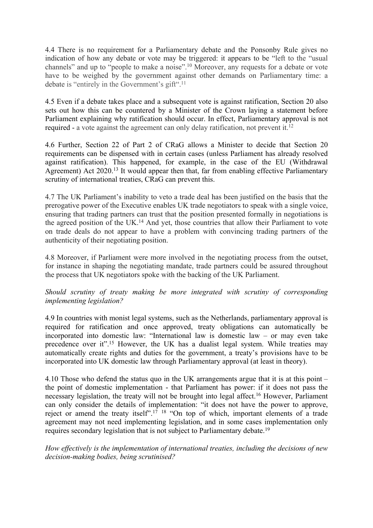4.4 There is no requirement for a Parliamentary debate and the Ponsonby Rule gives no indication of how any debate or vote may be triggered: it appears to be "left to the "usual channels" and up to "people to make a noise".<sup>10</sup> Moreover, any requests for a debate or vote have to be weighed by the government against other demands on Parliamentary time: a debate is "entirely in the Government's gift".<sup>11</sup>

4.5 Even if a debate takes place and a subsequent vote is against ratification, Section 20 also sets out how this can be countered by a Minister of the Crown laying a statement before Parliament explaining why ratification should occur. In effect, Parliamentary approval is not required - a vote against the agreement can only delay ratification, not prevent it.<sup>12</sup>

4.6 Further, Section 22 of Part 2 of CRaG allows a Minister to decide that Section 20 requirements can be dispensed with in certain cases (unless Parliament has already resolved against ratification). This happened, for example, in the case of the EU (Withdrawal Agreement) Act 2020.<sup>13</sup> It would appear then that, far from enabling effective Parliamentary scrutiny of international treaties, CRaG can prevent this.

4.7 The UK Parliament's inability to veto a trade deal has been justified on the basis that the prerogative power of the Executive enables UK trade negotiators to speak with a single voice, ensuring that trading partners can trust that the position presented formally in negotiations is the agreed position of the UK.<sup>14</sup> And yet, those countries that allow their Parliament to vote on trade deals do not appear to have a problem with convincing trading partners of the authenticity of their negotiating position.

4.8 Moreover, if Parliament were more involved in the negotiating process from the outset, for instance in shaping the negotiating mandate, trade partners could be assured throughout the process that UK negotiators spoke with the backing of the UK Parliament.

## *Should scrutiny of treaty making be more integrated with scrutiny of corresponding implementing legislation?*

4.9 In countries with monist legal systems, such as the Netherlands, parliamentary approval is required for ratification and once approved, treaty obligations can automatically be incorporated into domestic law: "International law is domestic law – or may even take precedence over it".<sup>15</sup> However, the UK has a dualist legal system. While treaties may automatically create rights and duties for the government, a treaty's provisions have to be incorporated into UK domestic law through Parliamentary approval (at least in theory).

4.10 Those who defend the status quo in the UK arrangements argue that it is at this point – the point of domestic implementation - that Parliament has power: if it does not pass the necessary legislation, the treaty will not be brought into legal affect.<sup>16</sup> However, Parliament can only consider the details of implementation: "it does not have the power to approve, reject or amend the treaty itself".<sup>17</sup> <sup>18</sup> "On top of which, important elements of a trade agreement may not need implementing legislation, and in some cases implementation only requires secondary legislation that is not subject to Parliamentary debate.<sup>19</sup>

*How effectively is the implementation of international treaties, including the decisions of new decision-making bodies, being scrutinised?*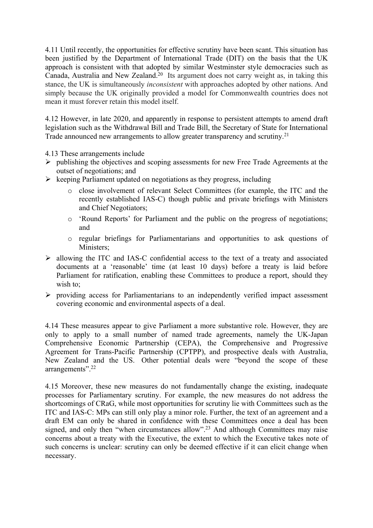4.11 Until recently, the opportunities for effective scrutiny have been scant. This situation has been justified by the Department of International Trade (DIT) on the basis that the UK approach is consistent with that adopted by similar Westminster style democracies such as Canada, Australia and New Zealand.<sup>20</sup> Its argument does not carry weight as, in taking this stance, the UK is simultaneously *inconsistent* with approaches adopted by other nations. And simply because the UK originally provided a model for Commonwealth countries does not mean it must forever retain this model itself.

4.12 However, in late 2020, and apparently in response to persistent attempts to amend draft legislation such as the Withdrawal Bill and Trade Bill, the Secretary of State for International Trade announced new arrangements to allow greater transparency and scrutiny.<sup>21</sup>

4.13 These arrangements include

- $\triangleright$  publishing the objectives and scoping assessments for new Free Trade Agreements at the outset of negotiations; and
- $\triangleright$  keeping Parliament updated on negotiations as they progress, including
	- o close involvement of relevant Select Committees (for example, the ITC and the recently established IAS-C) though public and private briefings with Ministers and Chief Negotiators;
	- o 'Round Reports' for Parliament and the public on the progress of negotiations; and
	- o regular briefings for Parliamentarians and opportunities to ask questions of Ministers;
- $\triangleright$  allowing the ITC and IAS-C confidential access to the text of a treaty and associated documents at a 'reasonable' time (at least 10 days) before a treaty is laid before Parliament for ratification, enabling these Committees to produce a report, should they wish to;
- $\triangleright$  providing access for Parliamentarians to an independently verified impact assessment covering economic and environmental aspects of a deal.

4.14 These measures appear to give Parliament a more substantive role. However, they are only to apply to a small number of named trade agreements, namely the UK-Japan Comprehensive Economic Partnership (CEPA), the Comprehensive and Progressive Agreement for Trans-Pacific Partnership (CPTPP), and prospective deals with Australia, New Zealand and the US. Other potential deals were "beyond the scope of these arrangements".<sup>22</sup>

4.15 Moreover, these new measures do not fundamentally change the existing, inadequate processes for Parliamentary scrutiny. For example, the new measures do not address the shortcomings of CRaG, while most opportunities for scrutiny lie with Committees such as the ITC and IAS-C: MPs can still only play a minor role. Further, the text of an agreement and a draft EM can only be shared in confidence with these Committees once a deal has been signed, and only then "when circumstances allow".<sup>23</sup> And although Committees may raise concerns about a treaty with the Executive, the extent to which the Executive takes note of such concerns is unclear: scrutiny can only be deemed effective if it can elicit change when necessary.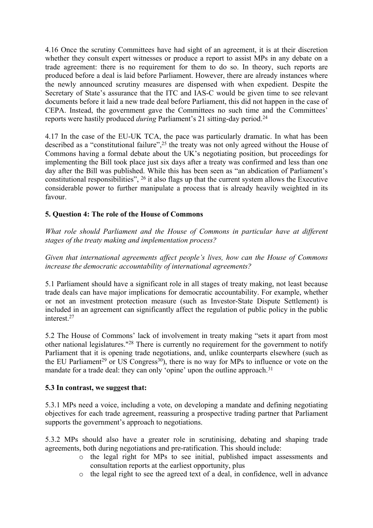4.16 Once the scrutiny Committees have had sight of an agreement, it is at their discretion whether they consult expert witnesses or produce a report to assist MPs in any debate on a trade agreement: there is no requirement for them to do so. In theory, such reports are produced before a deal is laid before Parliament. However, there are already instances where the newly announced scrutiny measures are dispensed with when expedient. Despite the Secretary of State's assurance that the ITC and IAS-C would be given time to see relevant documents before it laid a new trade deal before Parliament, this did not happen in the case of CEPA. Instead, the government gave the Committees no such time and the Committees' reports were hastily produced *during* Parliament's 21 sitting-day period.<sup>24</sup>

4.17 In the case of the EU-UK TCA, the pace was particularly dramatic. In what has been described as a "constitutional failure",<sup>25</sup> the treaty was not only agreed without the House of Commons having a formal debate about the UK's negotiating position, but proceedings for implementing the Bill took place just six days after a treaty was confirmed and less than one day after the Bill was published. While this has been seen as "an abdication of Parliament's constitutional responsibilities", <sup>26</sup> it also flags up that the current system allows the Executive considerable power to further manipulate a process that is already heavily weighted in its favour.

## **5. Question 4: The role of the House of Commons**

*What role should Parliament and the House of Commons in particular have at different stages of the treaty making and implementation process?*

*Given that international agreements affect people's lives, how can the House of Commons increase the democratic accountability of international agreements?*

5.1 Parliament should have a significant role in all stages of treaty making, not least because trade deals can have major implications for democratic accountability. For example, whether or not an investment protection measure (such as Investor-State Dispute Settlement) is included in an agreement can significantly affect the regulation of public policy in the public interest.<sup>27</sup>

5.2 The House of Commons' lack of involvement in treaty making "sets it apart from most other national legislatures."<sup>28</sup> There is currently no requirement for the government to notify Parliament that it is opening trade negotiations, and, unlike counterparts elsewhere (such as the EU Parliament<sup>29</sup> or US Congress<sup>30</sup>), there is no way for MPs to influence or vote on the mandate for a trade deal: they can only 'opine' upon the outline approach.<sup>31</sup>

## **5.3 In contrast, we suggest that:**

5.3.1 MPs need a voice, including a vote, on developing a mandate and defining negotiating objectives for each trade agreement, reassuring a prospective trading partner that Parliament supports the government's approach to negotiations.

5.3.2 MPs should also have a greater role in scrutinising, debating and shaping trade agreements, both during negotiations and pre-ratification. This should include:

- o the legal right for MPs to see initial, published impact assessments and consultation reports at the earliest opportunity, plus
- o the legal right to see the agreed text of a deal, in confidence, well in advance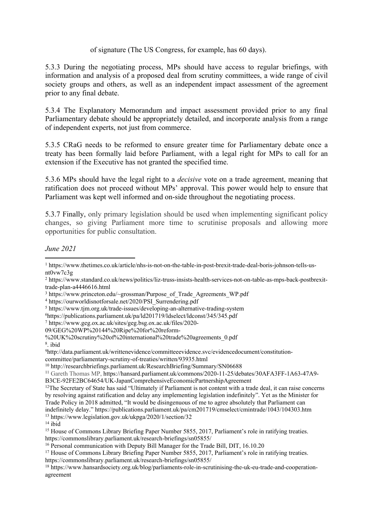### of signature (The US Congress, for example, has 60 days).

5.3.3 During the negotiating process, MPs should have access to regular briefings, with information and analysis of a proposed deal from scrutiny committees, a wide range of civil society groups and others, as well as an independent impact assessment of the agreement prior to any final debate.

5.3.4 The Explanatory Memorandum and impact assessment provided prior to any final Parliamentary debate should be appropriately detailed, and incorporate analysis from a range of independent experts, not just from commerce.

5.3.5 CRaG needs to be reformed to ensure greater time for Parliamentary debate once a treaty has been formally laid before Parliament, with a legal right for MPs to call for an extension if the Executive has not granted the specified time.

5.3.6 MPs should have the legal right to a *decisive* vote on a trade agreement, meaning that ratification does not proceed without MPs' approval. This power would help to ensure that Parliament was kept well informed and on-side throughout the negotiating process.

5.3.7 Finally, only primary legislation should be used when implementing significant policy changes, so giving Parliament more time to scrutinise proposals and allowing more opportunities for public consultation.

*June 2021*

<sup>1</sup> https://www.thetimes.co.uk/article/nhs-is-not-on-the-table-in-post-brexit-trade-deal-boris-johnson-tells-usnt0vw7c3g

<sup>2</sup> https://www.standard.co.uk/news/politics/liz-truss-insists-health-services-not-on-table-as-mps-back-postbrexittrade-plan-a4446616.html

<sup>&</sup>lt;sup>3</sup> https://www.princeton.edu/~grossman/Purpose\_of\_Trade\_Agreements\_WP.pdf

<sup>4</sup> https://ourworldisnotforsale.net/2020/PSI\_Surrendering.pdf

<sup>5</sup> https://www.tjm.org.uk/trade-issues/developing-an-alternative-trading-system

<sup>6</sup>https://publications.parliament.uk/pa/ld201719/ldselect/ldconst/345/345.pdf

<sup>7</sup> https://www.geg.ox.ac.uk/sites/geg.bsg.ox.ac.uk/files/2020-

<sup>09/</sup>GEG%20WP%20144%20Ripe%20for%20reform-

<sup>%20</sup>UK%20scrutiny%20of%20international%20trade%20agreements\_0.pdf

<sup>8</sup> . ibid

<sup>9</sup>http://data.parliament.uk/writtenevidence/committeeevidence.svc/evidencedocument/constitutioncommittee/parliamentary-scrutiny-of-treaties/written/93935.html

<sup>10</sup> http://researchbriefings.parliament.uk/ResearchBriefing/Summary/SN06688

<sup>11</sup> Gareth Thomas MP, https://hansard.parliament.uk/commons/2020-11-25/debates/30AFA3FF-1A63-47A9- B3CE-92FE2BC64654/UK-JapanComprehensiveEconomicPartnershipAgreement

<sup>&</sup>lt;sup>12</sup>The Secretary of State has said "Ultimately if Parliament is not content with a trade deal, it can raise concerns by resolving against ratification and delay any implementing legislation indefinitely". Yet as the Minister for Trade Policy in 2018 admitted, "It would be disingenuous of me to agree absolutely that Parliament can indefinitely delay." https://publications.parliament.uk/pa/cm201719/cmselect/cmintrade/1043/104303.htm <sup>13</sup> https://www.legislation.gov.uk/ukpga/2020/1/section/32

 $14$  ibid

<sup>15</sup> House of Commons Library Briefing Paper Number 5855, 2017, Parliament's role in ratifying treaties. https://commonslibrary.parliament.uk/research-briefings/sn05855/

<sup>16</sup> Personal communication with Deputy Bill Manager for the Trade Bill, DIT, 16.10.20

<sup>&</sup>lt;sup>17</sup> House of Commons Library Briefing Paper Number 5855, 2017, Parliament's role in ratifying treaties. https://commonslibrary.parliament.uk/research-briefings/sn05855/

<sup>18</sup> https://www.hansardsociety.org.uk/blog/parliaments-role-in-scrutinising-the-uk-eu-trade-and-cooperationagreement